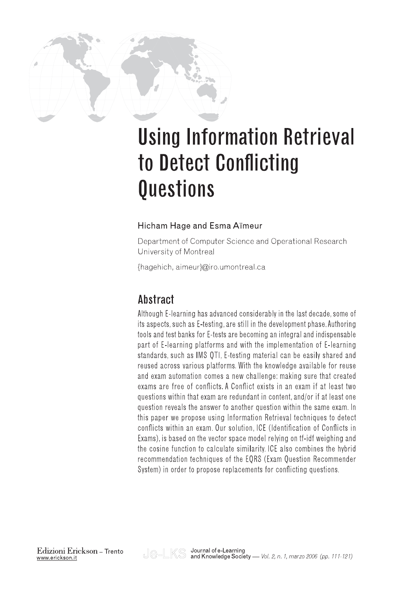

# **Using Information Retrieval** to Detect Conflicting Questions

#### **Hicham Hage and Esma Aïmeur**

Department of Computer Science and Operational Research University of Montreal

{hagehich, aimeur}@iro.umontreal.ca

## Abstract

Although E-learning has advanced considerably in the last decade, some of its aspects, such as E-testing, are still in the development phase. Authoring tools and test banks for E-tests are becoming an integral and indispensable part of E-learning platforms and with the implementation of E-learning standards, such as IMS QTI, E-testing material can be easily shared and reused across various platforms. With the knowledge available for reuse and exam automation comes a new challenge; making sure that created exams are free of conflicts. A Conflict exists in an exam if at least two questions within that exam are redundant in content, and/or if at least one question reveals the answer to another question within the same exam. In this paper we propose using Information Retrieval techniques to detect conflicts within an exam. Our solution, ICE (Identification of Conflicts in Exams), is based on the vector space model relying on tf-idf weighing and the cosine function to calculate similarity. ICE also combines the hybrid recommendation techniques of the EQRS (Exam Question Recommender System) in order to propose replacements for conflicting questions.

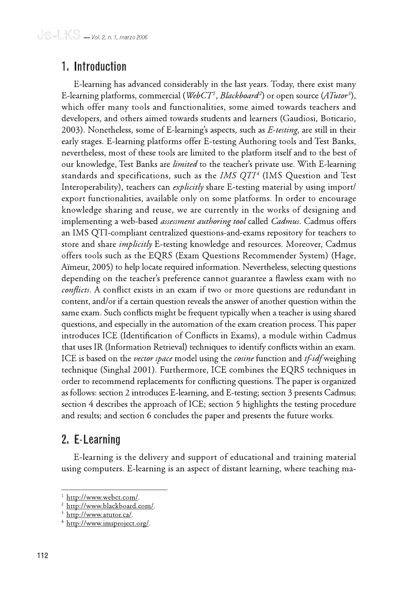## 1. Introduction

E-learning has advanced considerably in the last years. Today, there exist many E-learning platforms, commercial (*WebCT<sup>1</sup>, Blackboard<sup>2</sup>*) or open source (*ATutor<sup>3</sup>*), which offer many tools and functionalities, some aimed towards teachers and developers, and others aimed towards students and learners (Gaudiosi, Boticario, 2003). Nonetheless, some of E-learning's aspects, such as *E-testing*, are still in their early stages. E-learning platforms offer E-testing Authoring tools and Test Banks, nevertheless, most of these tools are limited to the platform itself and to the best of our knowledge, Test Banks are *limited* to the teacher's private use. With E-learning standards and specifications, such as the IMS QTI<sup>4</sup> (IMS Question and Test Interoperability), teachers can *explicitly* share E-testing material by using import/ export functionalities, available only on some platforms. In order to encourage knowledge sharing and reuse, we are currently in the works of designing and implementing a web-based *assessment authoring tool* called *Cadmus*. Cadmus offers an IMS QTI-compliant centralized questions-and-exams repository for teachers to store and share *implicitly* E-testing knowledge and resources. Moreover, Cadmus offers tools such as the EQRS (Exam Questions Recommender System) (Hage, Aïmeur, 2005) to help locate required information. Nevertheless, selecting questions depending on the teacher's preference cannot guarantee a flawless exam with no conflicts. A conflict exists in an exam if two or more questions are redundant in content, and/or if a certain question reveals the answer of another question within the same exam. Such conflicts might be frequent typically when a teacher is using shared questions, and especially in the automation of the exam creation process. This paper introduces ICE (Identification of Conflicts in Exams), a module within Cadmus that uses IR (Information Retrieval) techniques to identify conflicts within an exam. ICE is based on the *vector space* model using the *cosine* function and *tf-idf* weighing technique (Singhal 2001). Furthermore, ICE combines the EQRS techniques in order to recommend replacements for conflicting questions. The paper is organized as follows: section 2 introduces E-learning, and E-testing; section 3 presents Cadmus; section 4 describes the approach of ICE; section 5 highlights the testing procedure and results; and section 6 concludes the paper and presents the future works.

## 2. E-Learning

E-learning is the delivery and support of educational and training material using computers. E-learning is an aspect of distant learning, where teaching ma-

<sup>&</sup>lt;sup>1</sup> http://www.webct.com/.

<sup>&</sup>lt;sup>2</sup> http://www.blackboard.com/.

<sup>&</sup>lt;sup>3</sup> http://www.atutor.ca/.

<sup>&</sup>lt;sup>4</sup> http://www.imsproject.org/.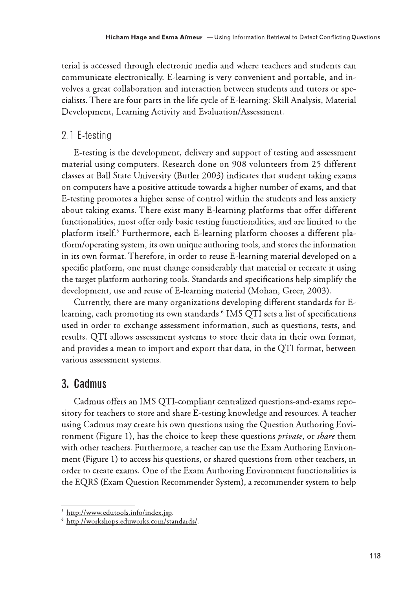terial is accessed through electronic media and where teachers and students can communicate electronically. E-learning is very convenient and portable, and involves a great collaboration and interaction between students and tutors or specialists. There are four parts in the life cycle of E-learning: Skill Analysis, Material Development, Learning Activity and Evaluation/Assessment.

#### 2.1 E-testing

E-testing is the development, delivery and support of testing and assessment material using computers. Research done on 908 volunteers from 25 different classes at Ball State University (Butler 2003) indicates that student taking exams on computers have a positive attitude towards a higher number of exams, and that E-testing promotes a higher sense of control within the students and less anxiety about taking exams. There exist many E-learning platforms that offer different functionalities, most offer only basic testing functionalities, and are limited to the platform itself.<sup>5</sup> Furthermore, each E-learning platform chooses a different platform/operating system, its own unique authoring tools, and stores the information in its own format. Therefore, in order to reuse E-learning material developed on a specific platform, one must change considerably that material or recreate it using the target platform authoring tools. Standards and specifications help simplify the development, use and reuse of E-learning material (Mohan, Greer, 2003).

Currently, there are many organizations developing different standards for Elearning, each promoting its own standards.<sup>6</sup> IMS QTI sets a list of specifications used in order to exchange assessment information, such as questions, tests, and results. QTI allows assessment systems to store their data in their own format, and provides a mean to import and export that data, in the QTI format, between various assessment systems.

## 3. Cadmus

Cadmus offers an IMS QTI-compliant centralized questions-and-exams repository for teachers to store and share E-testing knowledge and resources. A teacher using Cadmus may create his own questions using the Question Authoring Environment (Figure 1), has the choice to keep these questions *private*, or *share* them with other teachers. Furthermore, a teacher can use the Exam Authoring Environment (Figure 1) to access his questions, or shared questions from other teachers, in order to create exams. One of the Exam Authoring Environment functionalities is the EQRS (Exam Question Recommender System), a recommender system to help

<sup>&</sup>lt;sup>5</sup> http://www.edutools.info/index.jsp.

<sup>&</sup>lt;sup>6</sup> http://workshops.eduworks.com/standards/.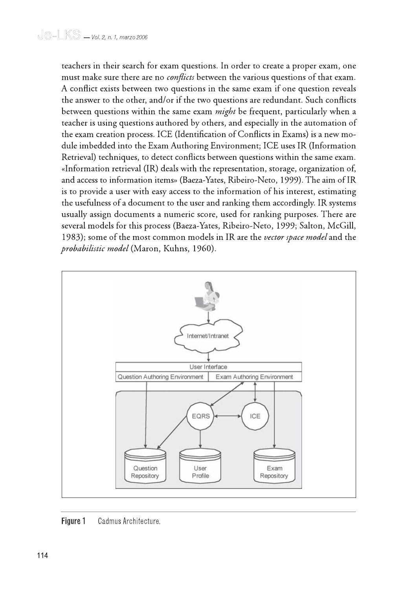teachers in their search for exam questions. In order to create a proper exam, one must make sure there are no *conflicts* between the various questions of that exam. A conflict exists between two questions in the same exam if one question reveals the answer to the other, and/or if the two questions are redundant. Such conflicts between questions within the same exam *might* be frequent, particularly when a teacher is using questions authored by others, and especially in the automation of the exam creation process. ICE (Identification of Conflicts in Exams) is a new module imbedded into the Exam Authoring Environment; ICE uses IR (Information Retrieval) techniques, to detect conflicts between questions within the same exam. «Information retrieval (IR) deals with the representation, storage, organization of, and access to information items» (Baeza-Yates, Ribeiro-Neto, 1999). The aim of IR is to provide a user with easy access to the information of his interest, estimating the usefulness of a document to the user and ranking them accordingly. IR systems usually assign documents a numeric score, used for ranking purposes. There are several models for this process (Baeza-Yates, Ribeiro-Neto, 1999; Salton, McGill, 1983); some of the most common models in IR are the vector space model and the probabilistic model (Maron, Kuhns, 1960).



Figure 1 Cadmus Architecture.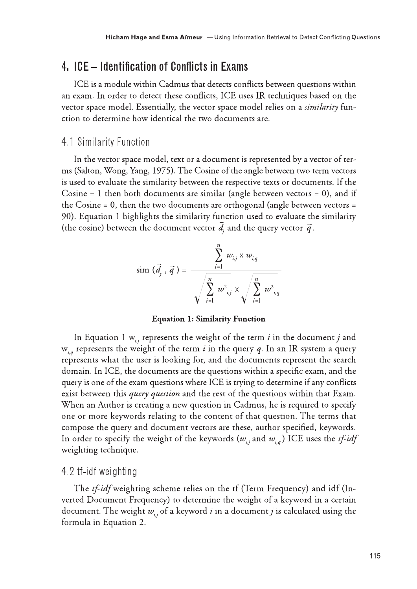## 4. ICE - Identification of Conflicts in Exams

ICE is a module within Cadmus that detects conflicts between questions within an exam. In order to detect these conflicts, ICE uses IR techniques based on the vector space model. Essentially, the vector space model relies on a *similarity* function to determine how identical the two documents are.

#### 4.1 Similarity Function

In the vector space model, text or a document is represented by a vector of terms (Salton, Wong, Yang, 1975). The Cosine of the angle between two term vectors is used to evaluate the similarity between the respective texts or documents. If the Cosine = 1 then both documents are similar (angle between vectors = 0), and if the Cosine = 0, then the two documents are orthogonal (angle between vectors = 90). Equation 1 highlights the similarity function used to evaluate the similarity (the cosine) between the document vector  $\vec{d}_i$  and the query vector  $\vec{q}$ .

$$
\sin (\vec{d}_j, \vec{q}) = \frac{\sum_{i=1}^{n} w_{i,j} \times w_{i,q}}{\sqrt{\sum_{i=1}^{n} w_{i,j}^{2} \times \sqrt{\sum_{i=1}^{n} w_{i,q}^{2}}}}
$$

**Equation 1: Similarity Function** 

In Equation 1  $w_{i,j}$  represents the weight of the term i in the document j and  $w_{i,q}$  represents the weight of the term i in the query q. In an IR system a query represents what the user is looking for, and the documents represent the search domain. In ICE, the documents are the questions within a specific exam, and the query is one of the exam questions where ICE is trying to determine if any conflicts exist between this *query question* and the rest of the questions within that Exam. When an Author is creating a new question in Cadmus, he is required to specify one or more keywords relating to the content of that question. The terms that compose the query and document vectors are these, author specified, keywords. In order to specify the weight of the keywords  $(w_{i,i}$  and  $w_{i,j}$ ) ICE uses the tf-idf weighting technique.

#### 4.2 tf-idf weighting

The *tf-idf* weighting scheme relies on the tf (Term Frequency) and idf (Inverted Document Frequency) to determine the weight of a keyword in a certain document. The weight  $w_{ij}$  of a keyword i in a document j is calculated using the formula in Equation 2.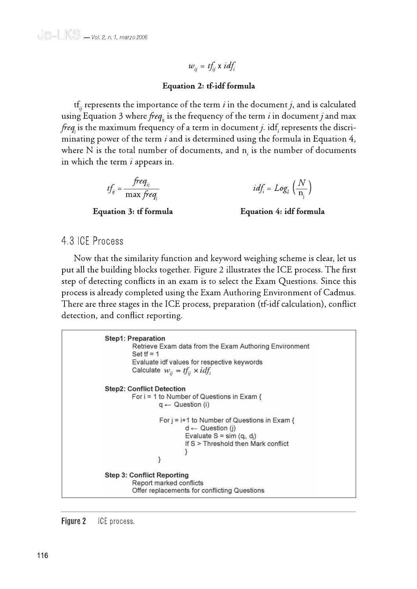$w_{ii} = tf_{ii} \times idf_{ii}$ 

#### Equation 2: tf-idf formula

 $\mathsf{tf}_{ii}$  represents the importance of the term i in the document j, and is calculated using Equation 3 where  $freq_{ii}$  is the frequency of the term i in document j and max *freq* is the maximum frequency of a term in document *j*. idf represents the discriminating power of the term  $i$  and is determined using the formula in Equation 4, where N is the total number of documents, and  $n_i$  is the number of documents in which the term  $i$  appears in.

$$
tf_{ij} = \frac{freq_{ij}}{\max freq_i}
$$

$$
idf_i = Log_2\left(\frac{N}{n_i}\right)
$$

Equation 3: tf formula

Equation 4: idf formula

#### 4.3 ICE Process

Now that the similarity function and keyword weighing scheme is clear, let us put all the building blocks together. Figure 2 illustrates the ICE process. The first step of detecting conflicts in an exam is to select the Exam Questions. Since this process is already completed using the Exam Authoring Environment of Cadmus. There are three stages in the ICE process, preparation (tf-idf calculation), conflict detection, and conflict reporting.

```
Step1: Preparation
          Retrieve Exam data from the Exam Authoring Environment
          Set tf = 1Evaluate idf values for respective keywords
          Calculate w_{ij} = tf_{ij} \times idf_iStep2: Conflict Detection
         For i = 1 to Number of Questions in Exam {
                   q \leftarrow Question (i)
                   For j = i+1 to Number of Questions in Exam {
                             d \leftarrow Question (i)
                             Evaluate S = \text{sim} (q_i, d_i)If S > Threshold then Mark conflict
                   \mathcal{E}Step 3: Conflict Reporting
          Report marked conflicts
          Offer replacements for conflicting Questions
```
#### Figure 2 ICE process.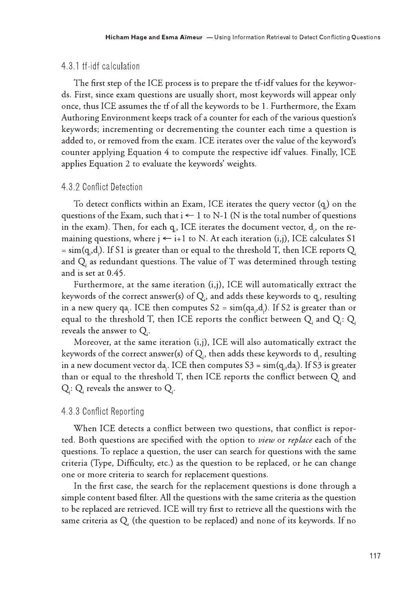#### 4.3.1 tf-idf calculation

The first step of the ICE process is to prepare the tf-idf values for the keywords. First, since exam questions are usually short, most keywords will appear only once, thus ICE assumes the tf of all the keywords to be 1. Furthermore, the Exam Authoring Environment keeps track of a counter for each of the various question's keywords; incrementing or decrementing the counter each time a question is added to, or removed from the exam. ICE iterates over the value of the keyword's counter applying Equation 4 to compute the respective idf values. Finally, ICE applies Equation 2 to evaluate the keywords' weights.

#### 4.3.2 Conflict Detection

To detect conflicts within an Exam, ICE iterates the query vector (q<sub>i</sub>) on the questions of the Exam, such that  $i \leftarrow 1$  to N-1 (N is the total number of questions in the exam). Then, for each  $q_i$ , ICE iterates the document vector,  $d_i$ , on the remaining questions, where  $j \leftarrow i+1$  to N. At each iteration (i,j), ICE calculates S1 =  $\text{sim}(q_i, d_i)$ . If S1 is greater than or equal to the threshold T, then ICE reports Q. and  $Q_i$  as redundant questions. The value of T was determined through testing and is set at 0.45.

Furthermore, at the same iteration  $(i,j)$ , ICE will automatically extract the keywords of the correct answer(s) of  $Q_i$ , and adds these keywords to  $q_i$ , resulting in a new query qa. ICE then computes  $S2 = \text{sim}(qa, d)$ . If S2 is greater than or equal to the threshold T, then ICE reports the conflict between  $Q_i$  and  $Q_i: Q_i$ reveals the answer to  $Q_i$ .

Moreover, at the same iteration (i,j), ICE will also automatically extract the keywords of the correct answer(s) of  $Q_i$ , then adds these keywords to  $d_i$ , resulting in a new document vector da. ICE then computes  $S3 = \text{sim}(q_1, da_1)$ . If  $S3$  is greater than or equal to the threshold T, then ICE reports the conflict between  $Q_i$  and  $Q_i$ :  $Q_i$  reveals the answer to  $Q_i$ .

#### 4.3.3 Conflict Reporting

When ICE detects a conflict between two questions, that conflict is reported. Both questions are specified with the option to view or replace each of the questions. To replace a question, the user can search for questions with the same criteria (Type, Difficulty, etc.) as the question to be replaced, or he can change one or more criteria to search for replacement questions.

In the first case, the search for the replacement questions is done through a simple content based filter. All the questions with the same criteria as the question to be replaced are retrieved. ICE will try first to retrieve all the questions with the same criteria as  $Q$  (the question to be replaced) and none of its keywords. If no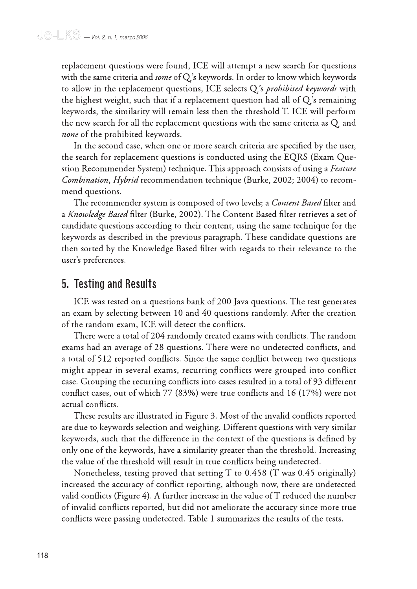replacement questions were found, ICE will attempt a new search for questions with the same criteria and some of Q's keywords. In order to know which keywords to allow in the replacement questions, ICE selects Q's *prohibited keywords* with the highest weight, such that if a replacement question had all of  $Q$ 's remaining keywords, the similarity will remain less then the threshold T. ICE will perform the new search for all the replacement questions with the same criteria as  $Q<sub>r</sub>$  and none of the prohibited keywords.

In the second case, when one or more search criteria are specified by the user, the search for replacement questions is conducted using the EQRS (Exam Question Recommender System) technique. This approach consists of using a Feature Combination, Hybrid recommendation technique (Burke, 2002; 2004) to recommend questions.

The recommender system is composed of two levels; a *Content Based* filter and a Knowledge Based filter (Burke, 2002). The Content Based filter retrieves a set of candidate questions according to their content, using the same technique for the keywords as described in the previous paragraph. These candidate questions are then sorted by the Knowledge Based filter with regards to their relevance to the user's preferences.

### 5. Testing and Results

ICE was tested on a questions bank of 200 Java questions. The test generates an exam by selecting between 10 and 40 questions randomly. After the creation of the random exam, ICE will detect the conflicts.

There were a total of 204 randomly created exams with conflicts. The random exams had an average of 28 questions. There were no undetected conflicts, and a total of 512 reported conflicts. Since the same conflict between two questions might appear in several exams, recurring conflicts were grouped into conflict case. Grouping the recurring conflicts into cases resulted in a total of 93 different conflict cases, out of which 77 (83%) were true conflicts and 16 (17%) were not actual conflicts.

These results are illustrated in Figure 3. Most of the invalid conflicts reported are due to keywords selection and weighing. Different questions with very similar keywords, such that the difference in the context of the questions is defined by only one of the keywords, have a similarity greater than the threshold. Increasing the value of the threshold will result in true conflicts being undetected.

Nonetheless, testing proved that setting  $T$  to 0.458 (T was 0.45 originally) increased the accuracy of conflict reporting, although now, there are undetected valid conflicts (Figure 4). A further increase in the value of T reduced the number of invalid conflicts reported, but did not ameliorate the accuracy since more true conflicts were passing undetected. Table 1 summarizes the results of the tests.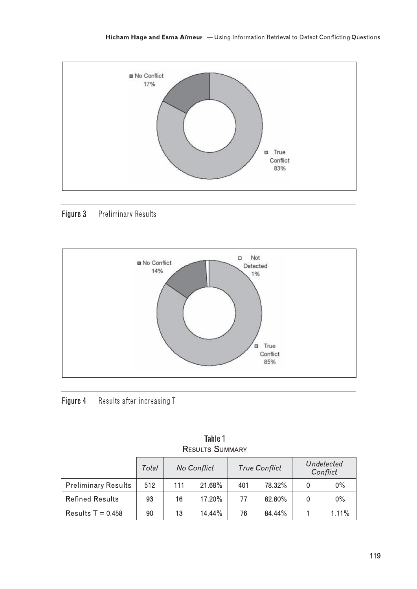

Figure 3 Preliminary Results.



Figure 4 Results after increasing T.

|                            | Total | No Conflict |           | <b>True Conflict</b> |        | Undetected<br>Conflict |          |
|----------------------------|-------|-------------|-----------|----------------------|--------|------------------------|----------|
| <b>Preliminary Results</b> | 512   | 111         | 21.68%    | 401                  | 78.32% |                        | $0\%$    |
| <b>Refined Results</b>     | 93    | 16          | $17.20\%$ | 77                   | 82.80% |                        | $0\%$    |
| Results $T = 0.458$        | 90    | 13          | $14.44\%$ | 76                   | 84.44% |                        | $1.11\%$ |

Table 1 **RESULTS SUMMARY**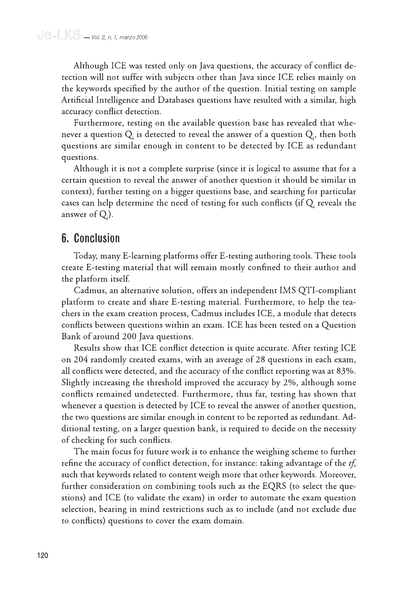Although ICE was tested only on Java questions, the accuracy of conflict detection will not suffer with subjects other than Java since ICE relies mainly on the keywords specified by the author of the question. Initial testing on sample Artificial Intelligence and Databases questions have resulted with a similar, high accuracy conflict detection.

Furthermore, testing on the available question base has revealed that whenever a question Q is detected to reveal the answer of a question Q, then both questions are similar enough in content to be detected by ICE as redundant questions.

Although it is not a complete surprise (since it is logical to assume that for a certain question to reveal the answer of another question it should be similar in context), further testing on a bigger questions base, and searching for particular cases can help determine the need of testing for such conflicts (if Q<sub>i</sub> reveals the answer of  $Q_i$ ).

### 6. Conclusion

Today, many E-learning platforms offer E-testing authoring tools. These tools create E-testing material that will remain mostly confined to their author and the platform itself.

Cadmus, an alternative solution, offers an independent IMS QTI-compliant platform to create and share E-testing material. Furthermore, to help the teachers in the exam creation process, Cadmus includes ICE, a module that detects conflicts between questions within an exam. ICE has been tested on a Question Bank of around 200 Java questions.

Results show that ICE conflict detection is quite accurate. After testing ICE on 204 randomly created exams, with an average of 28 questions in each exam, all conflicts were detected, and the accuracy of the conflict reporting was at 83%. Slightly increasing the threshold improved the accuracy by 2%, although some conflicts remained undetected. Furthermore, thus far, testing has shown that whenever a question is detected by ICE to reveal the answer of another question, the two questions are similar enough in content to be reported as redundant. Additional testing, on a larger question bank, is required to decide on the necessity of checking for such conflicts.

The main focus for future work is to enhance the weighing scheme to further refine the accuracy of conflict detection, for instance: taking advantage of the *tf*, such that keywords related to content weigh more that other keywords. Moreover, further consideration on combining tools such as the EQRS (to select the questions) and ICE (to validate the exam) in order to automate the exam question selection, bearing in mind restrictions such as to include (and not exclude due to conflicts) questions to cover the exam domain.